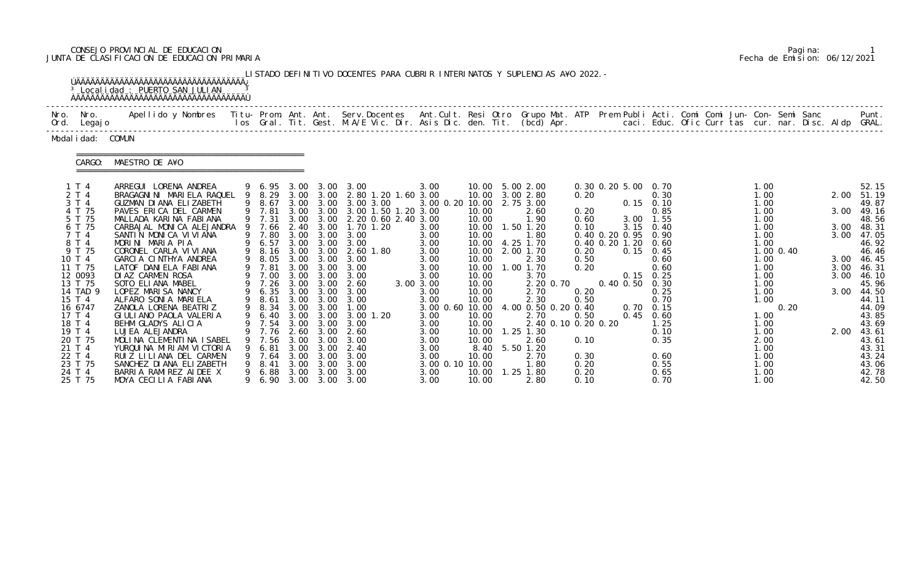# CONSEJO PROVINCIAL DE EDUCACION Pagina: 1 JUNTA DE CLASIFICACION DE EDUCACION PRIMARIA Fecha de Emision: 06/12/2021

|              |                                                                                                                                                                                                                                               | ÚÄÄÄÄÄÄÄÄÄÄÄÄÄÄÄÄÄÄÄÄÄÄÄÄÄÄÄÄÄÄÄÄÄÄÄÄÄ<br><sup>3</sup> Localidad : PUERTO SAN JULIAN                                                                                                                                                                                                                                                                                                                                                                                                                                                                                                                                 |                  |                                                                                                                                                                                                              |                                                                                                                      |                                                                                                                                                                                                                                                   | LISTADO DEFINITIVO DOCENTES PARA CUBRIR INTERINATOS Y SUPLENCIAS A¥O 2022. -                                                                                                                                                                                  |                                                                                                                                                                                                            |                                                                                                                                                                                          |                                                                                                                                                                                                                                                                                           |                                                                                                              |                                                                                                               |                                                                                                                                                                                                   |  |                                                                                                                                                                                |                   |                                                                      |                                                                                                                                                                                                                      |
|--------------|-----------------------------------------------------------------------------------------------------------------------------------------------------------------------------------------------------------------------------------------------|----------------------------------------------------------------------------------------------------------------------------------------------------------------------------------------------------------------------------------------------------------------------------------------------------------------------------------------------------------------------------------------------------------------------------------------------------------------------------------------------------------------------------------------------------------------------------------------------------------------------|------------------|--------------------------------------------------------------------------------------------------------------------------------------------------------------------------------------------------------------|----------------------------------------------------------------------------------------------------------------------|---------------------------------------------------------------------------------------------------------------------------------------------------------------------------------------------------------------------------------------------------|---------------------------------------------------------------------------------------------------------------------------------------------------------------------------------------------------------------------------------------------------------------|------------------------------------------------------------------------------------------------------------------------------------------------------------------------------------------------------------|------------------------------------------------------------------------------------------------------------------------------------------------------------------------------------------|-------------------------------------------------------------------------------------------------------------------------------------------------------------------------------------------------------------------------------------------------------------------------------------------|--------------------------------------------------------------------------------------------------------------|---------------------------------------------------------------------------------------------------------------|---------------------------------------------------------------------------------------------------------------------------------------------------------------------------------------------------|--|--------------------------------------------------------------------------------------------------------------------------------------------------------------------------------|-------------------|----------------------------------------------------------------------|----------------------------------------------------------------------------------------------------------------------------------------------------------------------------------------------------------------------|
| Nro.<br>Ord. | Nro.<br>Legaj o                                                                                                                                                                                                                               | Apellido y Nombres - Titu- Prom. Ant. Ant. Serv.Docentes - Ant.Cult. Resi Otro Grupo Mat. ATP Prem Publi Acti. Comi Comi Jun- Con- Semi Sanc - - - - Punt.<br>Ios Gral. Tit. Gest. M.A/E Vic. Dir. Asis Dic. den. Tit. (bcd) Apr.                                                                                                                                                                                                                                                                                                                                                                                    |                  |                                                                                                                                                                                                              |                                                                                                                      |                                                                                                                                                                                                                                                   |                                                                                                                                                                                                                                                               |                                                                                                                                                                                                            |                                                                                                                                                                                          |                                                                                                                                                                                                                                                                                           |                                                                                                              |                                                                                                               |                                                                                                                                                                                                   |  |                                                                                                                                                                                |                   |                                                                      |                                                                                                                                                                                                                      |
|              | Modal i dad: COMUN                                                                                                                                                                                                                            |                                                                                                                                                                                                                                                                                                                                                                                                                                                                                                                                                                                                                      |                  |                                                                                                                                                                                                              |                                                                                                                      |                                                                                                                                                                                                                                                   |                                                                                                                                                                                                                                                               |                                                                                                                                                                                                            |                                                                                                                                                                                          |                                                                                                                                                                                                                                                                                           |                                                                                                              |                                                                                                               |                                                                                                                                                                                                   |  |                                                                                                                                                                                |                   |                                                                      |                                                                                                                                                                                                                      |
|              | CARGO:                                                                                                                                                                                                                                        | MAESTRO DE A¥O                                                                                                                                                                                                                                                                                                                                                                                                                                                                                                                                                                                                       |                  |                                                                                                                                                                                                              |                                                                                                                      |                                                                                                                                                                                                                                                   |                                                                                                                                                                                                                                                               |                                                                                                                                                                                                            |                                                                                                                                                                                          |                                                                                                                                                                                                                                                                                           |                                                                                                              |                                                                                                               |                                                                                                                                                                                                   |  |                                                                                                                                                                                |                   |                                                                      |                                                                                                                                                                                                                      |
|              | 1T4<br>2 T 4<br>3 T 4<br>4 T 75<br>5 T 75<br>6 T 75<br>7 T 4<br>8 T 4<br>9 T 75<br>10 T 4<br>11 T 75<br>12 0093<br>13 T 75<br>14 TAD 9<br>15 T 4<br>16 6747<br>17 T 4<br>18 T 4<br>19 T 4<br>20 T 75<br>21 T 4<br>22 T 4<br>23 T 75<br>24 T 4 | ARREGUI LORENA ANDREA<br>BRAGAGNINI MARIELA RAQUEL<br>GUZMAN DI ANA ELIZABETH<br>PAVES ERICA DEL CARMEN<br>MALLADA KARINA FABIANA<br>CARBAJAL MONICA ALEJANDRA<br>SANTIN MONICA VIVIANA<br>MORINI MARIA PIA<br>CORONEL CARLA VI VI ANA<br>GARCIA CINTHYA ANDREA<br>LATOF DANIELA FABIANA<br>DIAZ CARMEN ROSA<br>SOTO ELIANA MABEL<br>LOPEZ MARISA NANCY<br>ALFARO SONIA MARIELA<br>ZANOLA LORENA BEATRIZ<br>GIULIANO PAOLA VALERIA<br>BEHM GLADYS ALICIA<br>LUJEA ALEJANDRA<br>MOLINA CLEMENTINA ISABEL<br>YURQUINA MIRIAM VICTORIA<br>RUIZ LILIANA DEL CARMEN<br>SANCHEZ DI ANA ELIZABETH<br>BARRIA RAMIREZ AIDEE X | 9<br>9<br>9<br>9 | 9 6.95<br>9 8.29<br>8.67<br>9 7.81<br>9 7.31<br>7.66<br>9 7.80<br>6.57<br>8.16<br>8.05<br>7.81<br>7.00<br>9 7.26<br>6.35<br>8.61<br>9 8.34<br>6.40<br>9 7.54<br>7.76<br>7.56<br>6.81<br>7.64<br>8.41<br>6.88 | 3.00<br>2.40<br>3.00<br>3.00<br>3.00<br>3.00<br>3.00<br>3.00<br>3.00<br>3.00<br>2.60<br>3.00<br>3.00<br>3.00<br>3.00 | $3.00 \quad 3.00$<br>3.00 3.00<br>3.00 3.00<br>3.00 3.00<br>3.00<br>3.00<br>3.00<br>3.00<br>3.00<br>3.00<br>3.00<br>3.00<br>3.00<br>3.00<br>3.00 3.00<br>3.00 3.00<br>3.00 3.00<br>3.00 3.00<br>3.00<br>3.00<br>3.00<br>3.00<br>3.00<br>3.00 3.00 | 3.00<br>2.80 1.20 1.60 3.00<br>3.00 3.00<br>3.00 1.50 1.20 3.00<br>2.20 0.60 2.40 3.00<br>1.70 1.20<br>3.00<br>3.00<br>2.60 1.80<br>3.00<br>3.00<br>3.00<br>2.60<br>3.00<br>3.00<br>1.00<br>3.00 1.20<br>3.00<br>2.60<br>3.00<br>2.40<br>3.00<br>3.00<br>3.00 | 3.00<br>3.00 0.20 10.00<br>3.00<br>3.00<br>3.00<br>3.00<br>3.00<br>3.00<br>3.00<br>3.00 3.00<br>3.00<br>3.00<br>3.00 0.60 10.00<br>3.00<br>3.00<br>3.00<br>3.00<br>3.00<br>3.00<br>3.00 0.10 10.00<br>3.00 | 10.00<br>10.00<br>10.00<br>10.00<br>10.00<br>10.00<br>10.00<br>10.00<br>10.00<br>10.00<br>10.00<br>10.00<br>10.00<br>10.00<br>10.00<br>10.00<br>10.00<br>10.00<br>8.40<br>10.00<br>10.00 | 5.00 2.00<br>3.00 2.80<br>2.75 3.00<br>2.60<br>1.90<br>$1.50$ $1.20$<br>1.80<br>4.25 1.70<br>2.00 1.70<br>2.30<br>1.00 1.70<br>3.70<br>2.20 0.70<br>2.70<br>2.30<br>4.00 0.50 0.20 0.40<br>2.70<br>2.40 0.10 0.20 0.20<br>$1.25$ $1.30$<br>2.60<br>5.50 1.20<br>2.70<br>1.80<br>1.25 1.80 | 0.20<br>0.20<br>0.60<br>0.10<br>0.20<br>0.50<br>0.20<br>0.20<br>0.50<br>0.50<br>0.10<br>0.30<br>0.20<br>0.20 | 0.30 0.20 5.00 0.70<br>$0.15$ 0.10<br>0.40 0.20 0.95 0.90<br>0.40 0.20 1.20<br>0.40 0.50<br>$0.70 \quad 0.15$ | 0.30<br>0.85<br>3.00 1.55<br>$3.15$ 0.40<br>0.60<br>$0.15 \quad 0.45$<br>0.60<br>0.60<br>$0.15 \quad 0.25$<br>0.30<br>0.25<br>0.70<br>$0.45$ 0.60<br>1.25<br>0.10<br>0.35<br>0.60<br>0.55<br>0.65 |  | 1.00<br>1.00<br>1.00<br>1.00<br>1.00<br>1.00<br>1.00<br>1.00<br>1.00<br>1.00<br>1.00<br>1.00<br>1.00<br>1.00<br>1.00<br>1.00<br>1. 00<br>2.00<br>1. 00<br>1.00<br>1.00<br>1.00 | 1.00 0.40<br>0.20 | 2.00<br>3.00<br>3.00<br>3.00<br>3.00<br>3.00<br>3.00<br>3.00<br>2.00 | 52.15<br>51.19<br>49.87<br>49.16<br>48.56<br>48.31<br>47.05<br>46.92<br>46.46<br>46.45<br>46.31<br>46.10<br>45.96<br>44.50<br>44.11<br>44.09<br>43.85<br>43.69<br>43.61<br>43.61<br>43.31<br>43.24<br>43.06<br>42.78 |

|  | Pagi na: |                              |
|--|----------|------------------------------|
|  |          | Fecha de Emision: 06/12/2021 |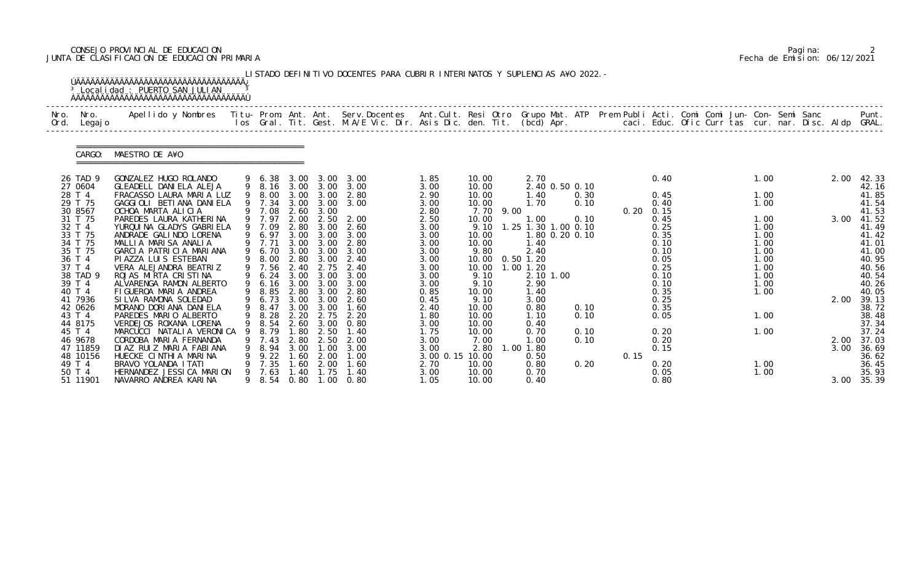# CONSEJO PROVINCIAL DE EDUCACION Pagina: 2 JUNTA DE CLASIFICACION DE EDUCACION PRIMARIA Fecha de Emision: 06/12/2021

| Nro. Nro.<br>Ord. Legajo | Apellido y Nombres  Titu- Prom. Ant. Ant. Serv.Docentes  Ant.Cult. Resi Otro Grupo Mat. ATP Prem Publi Acti. Comi Comi Jun- Con- Semi Sanc         Punt.<br>Ios Gral. Tit. Gest. M.A/E Vic. Dir. Asis Dic. den. Tit. (bcd) Apr. |    |                  |              |              |                                |                 |                |           |                                       |      |                   |              |  |              |  |            |                |
|--------------------------|---------------------------------------------------------------------------------------------------------------------------------------------------------------------------------------------------------------------------------|----|------------------|--------------|--------------|--------------------------------|-----------------|----------------|-----------|---------------------------------------|------|-------------------|--------------|--|--------------|--|------------|----------------|
| CARGO:                   | MAESTRO DE A¥O                                                                                                                                                                                                                  |    |                  |              |              |                                |                 |                |           |                                       |      |                   |              |  |              |  |            |                |
| 26 TAD 9                 | GONZALEZ HUGO ROLANDO                                                                                                                                                                                                           |    |                  |              |              | 9 6.38 3.00 3.00 3.00          | 1.85            | 10.00          |           | 2.70                                  |      |                   | 0.40         |  | 1.00         |  | 2.00       | 42.33          |
| 27 0604<br>28 T 4        | GLEADELL DANIELA ALEJA<br>FRACASSO LAURA MARIA LUZ                                                                                                                                                                              |    | 9 8.00           |              | 3.00 3.00    | 9 8.16 3.00 3.00 3.00<br>2.80  | 3.00<br>2.90    | 10.00<br>10.00 |           | 2.40 0.50 0.10<br>1.40                | 0.30 |                   | 0.45         |  | 1.00         |  |            | 42.16<br>41.85 |
| 29 T 75                  | GAGGIOLI BETIANA DANIELA                                                                                                                                                                                                        |    |                  |              |              | 9 7.34 3.00 3.00 3.00          | 3.00            | 10.00          |           | 1.70                                  | 0.10 |                   | 0.40         |  | 1.00         |  |            | 41.54          |
| 30 8567                  | OCHOA MARTA ALICIA                                                                                                                                                                                                              |    | 9 7.08           |              | 2.60 3.00    |                                | 2.80            |                | 7.70 9.00 |                                       |      | $0.20 \quad 0.15$ |              |  |              |  |            | 41.53          |
| 31 T 75                  | PAREDES LAURA KATHERINA                                                                                                                                                                                                         |    | 9 7.97           | 2.00         | 2.50         | 2.00                           | 2.50            | 10.00          |           | 1.00                                  | 0.10 |                   | 0.45         |  | 1.00         |  | 3.00       | 41.52          |
| 32 T 4<br>33 T 75        | YURQUI NA GLADYS GABRI ELA<br>ANDRADE GALINDO LORENA                                                                                                                                                                            |    | 9 7.09<br>9 6.97 | 2.80         | 3.00         | 2.60<br>3.00 3.00 3.00         | 3.00<br>3.00    | 9.10<br>10.00  |           | 1.25 1.30 1.00 0.10<br>1.80 0.20 0.10 |      |                   | 0.25<br>0.35 |  | 1.00<br>1.00 |  |            | 41.49<br>41.42 |
| 34 T 75                  | MALLIA MARISA ANALIA                                                                                                                                                                                                            |    | 9 7.71           | 3.00         | 3.00         | 2.80                           | 3.00            | 10.00          |           | 1.40                                  |      |                   | 0.10         |  | 1.00         |  |            | 41.01          |
| 35 T 75                  | GARCIA PATRICIA MARIANA                                                                                                                                                                                                         |    | 9 6.70           | 3.00         | 3.00         | 3.00                           | 3.00            | 9.80           |           | 2.40                                  |      |                   | 0.10         |  | 1.00         |  |            | 41.00          |
| 36 T 4                   | PI AZZA LUI S ESTEBAN                                                                                                                                                                                                           |    | 9 8.00           |              |              | 2.80 3.00 2.40                 | 3.00            | 10.00          |           | $0.50$ 1.20                           |      |                   | 0.05         |  | 1.00         |  |            | 40.95          |
| 37 T 4                   | VERA ALEJANDRA BEATRIZ                                                                                                                                                                                                          |    | 9 7.56           | 2.40         | 2.75         | 2.40                           | 3.00            |                |           | 10.00  1.00  1.20                     |      |                   | 0.25         |  | 1.00         |  |            | 40.56          |
| 38 TAD 9<br>39 T 4       | ROJAS MIRTA CRISTINA<br>ALVARENGA RAMON ALBERTO                                                                                                                                                                                 |    | 9 6.24           |              | 3.00 3.00    | 3.00<br>9 6.16 3.00 3.00 3.00  | 3.00<br>3.00    | 9.10<br>9.10   |           | 2.10 1.00<br>2.90                     |      |                   | 0.10<br>0.10 |  | 1.00<br>1.00 |  |            | 40.54<br>40.26 |
| 40 T 4                   | FIGUEROA MARIA ANDREA                                                                                                                                                                                                           |    | 9 8.85           | 2.80         | 3.00         | 2.80                           | 0.85            | 10.00          |           | 1.40                                  |      |                   | 0.35         |  | 1.00         |  |            | 40.05          |
| 41 7936                  | SILVA RAMONA SOLEDAD                                                                                                                                                                                                            |    | 9 6.73           |              |              | 3.00 3.00 2.60                 | 0.45            | 9.10           |           | 3.00                                  |      |                   | 0.25         |  |              |  | 2.00       | 39.13          |
| 42 0626                  | MORANO DORIANA DANIELA                                                                                                                                                                                                          |    | 9 8.47           |              |              | 3.00 3.00 1.60                 | 2.40            | 10.00          |           | 0.80                                  | 0.10 |                   | 0.35         |  |              |  |            | 38.72          |
| 43 T 4                   | PAREDES MARIO ALBERTO                                                                                                                                                                                                           |    | 9 8.28           | 2.20         | 2.75         | 2.20                           | 1.80            | 10.00          |           | 1.10                                  | 0.10 |                   | 0.05         |  | 1.00         |  |            | 38.48          |
| 44 8175<br>45 T 4        | VERDEJOS ROXANA LORENA<br>MARCUCCI NATALIA VERONICA                                                                                                                                                                             | 9  | 8.79             | . 80         | 2.50         | 9 8.54 2.60 3.00 0.80<br>1. 40 | 3.00<br>1.75    | 10.00<br>10.00 |           | 0.40<br>0.70                          | 0.10 |                   | 0.20         |  | 1.00         |  |            | 37.34<br>37.24 |
| 46 9678                  | CORDOBA MARIA FERNANDA                                                                                                                                                                                                          |    | 7.43             | 2.80         | 2.50         | 2.00                           | 3.00            | 7.00           |           | $\overline{\phantom{0}}$ .            | 0.10 |                   | 0.20         |  |              |  | 2.00       | 37.03          |
| 47 11859                 | DIAZ RUIZ MARIA FABIANA                                                                                                                                                                                                         |    | 8.94             | 3.00         | .00          | 3.00                           | 3.00            | 2.80           |           | 1.00 1.80                             |      |                   | 0.15         |  |              |  | 3.00       | 36.69          |
| 48 10156                 | HUECKE CINTHIA MARINA                                                                                                                                                                                                           |    | 9.22             | 1.60         | 2.00         | 1.00                           | 3.00 0.15 10.00 |                |           | 0.50                                  |      | 0.15              |              |  |              |  |            | 36.62          |
| 49 T 4                   | BRAVO YOLANDA I TATI                                                                                                                                                                                                            |    | 7.35             | 60           | 2.00         | l . 60                         | 2.70            | 10.00          |           | 0.80                                  | 0.20 |                   | 0.20         |  | 1.00         |  |            | 36.45          |
| 50 T 4<br>51 11901       | HERNANDEZ JESSI CA MARION<br>NAVARRO ANDREA KARINA                                                                                                                                                                              | 9. | 7.63<br>9 8.54   | . 40<br>0.80 | . 75<br>1.00 | 1.40<br>0.80                   | 3.00<br>1.05    | 10.00<br>10.00 |           | 0.70<br>0.40                          |      |                   | 0.05<br>0.80 |  | 1.00         |  | 3.00 35.39 | 35.93          |

|  | Pagi na: |                              |
|--|----------|------------------------------|
|  |          | Fecha de Emision: 06/12/2021 |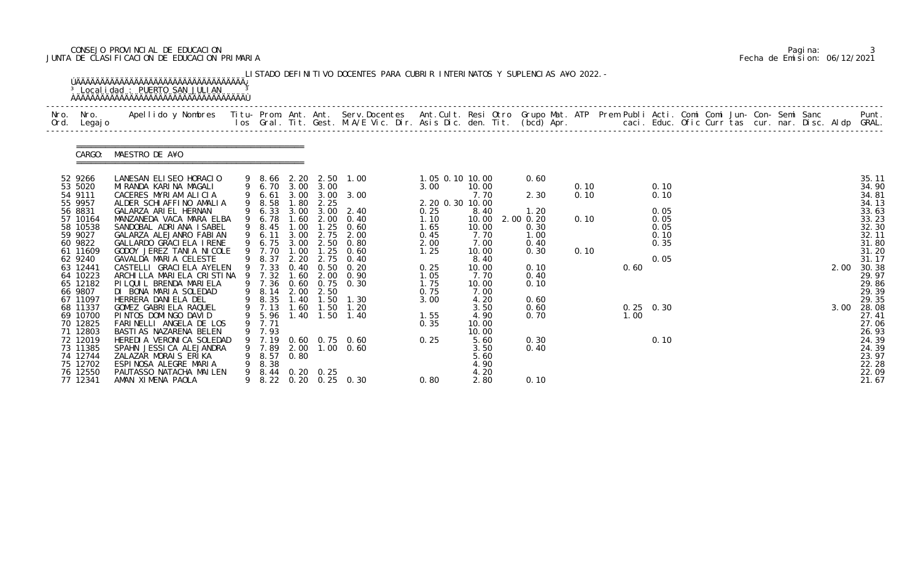# CONSEJO PROVINCIAL DE EDUCACION Pagina: 3 JUNTA DE CLASIFICACION DE EDUCACION PRIMARIA Fecha de Emision: 06/12/2021

| Nro.<br>Ord. | Nro.<br>Legaj o      | Apellido y Nombres - Titu- Prom. Ant. Ant. Serv.Docentes - Ant.Cult. Resi Otro Grupo Mat. ATP Prem Publi Acti. Comi Comi Jun- Con- Semi Sanc - - - Punt.<br>Ios Gral. Tit. Gest. M.A/E Vic. Dir. Asis Dic. den. Tit. (bcd) Apr. - |   |                |              |                |                       |                            |               |               |      |      |             |  |  |      |                |
|--------------|----------------------|-----------------------------------------------------------------------------------------------------------------------------------------------------------------------------------------------------------------------------------|---|----------------|--------------|----------------|-----------------------|----------------------------|---------------|---------------|------|------|-------------|--|--|------|----------------|
|              | CARGO:               | MAESTRO DE A¥O                                                                                                                                                                                                                    |   |                |              |                |                       |                            |               |               |      |      |             |  |  |      |                |
|              | 52 9266              | LANESAN ELISEO HORACIO                                                                                                                                                                                                            |   |                |              |                | 9 8.66 2.20 2.50 1.00 | 1.05 0.10 10.00            |               | 0.60          |      |      |             |  |  |      | 35.11          |
|              | 53 5020              | MIRANDA KARINA MAGALI                                                                                                                                                                                                             |   | 9 6.70         |              | 3.00 3.00      |                       | 3.00                       | 10.00         |               | 0.10 |      | 0.10        |  |  |      | 34.90          |
|              | 54 9111<br>55 9957   | CACERES MYRIAM ALICIA<br>ALDER SCHIAFFINO AMALIA                                                                                                                                                                                  |   | 6.61<br>8.58   | 3.00<br>. 80 | 3.00           | 3.00                  |                            | 7.70          | 2.30          | 0.10 |      | 0.10        |  |  |      | 34.81          |
|              | 56 8831              | GALARZA ARIEL HERNAN                                                                                                                                                                                                              |   | 6.33           | 3.00         | 2.25<br>3.00   | 2.40                  | 2. 20 0. 30 10. 00<br>0.25 | 8.40          | 1.20          |      |      | 0.05        |  |  |      | 34.13<br>33.63 |
|              | 57 10164             | MANZANEDA VACA MARA ELBA                                                                                                                                                                                                          |   | 6.78           | .60          | 2.00           | 0.40                  | 1.10                       | 10.00         | $2.00$ $0.20$ | 0.10 |      | 0.05        |  |  |      | 33.23          |
|              | 58 10538             | SANDOBAL ADRIANA ISABEL                                                                                                                                                                                                           |   | 8.45           | 1.00         | 1.25           | 0.60                  | 1.65                       | 10.00         | 0.30          |      |      | 0.05        |  |  |      | 32.30          |
|              | 59 9027              | GALARZA ALEJANRO FABIAN                                                                                                                                                                                                           |   | 9 6.11         | 3.00         | 2.75           | 2.00                  | 0.45                       | 7.70          | 1.00          |      |      | 0.10        |  |  |      | 32.11          |
|              | 60 9822              | GALLARDO GRACI ELA IRENE                                                                                                                                                                                                          |   | 6.75           | 3.00         | 2.50           | 0.80                  | 2.00                       | 7.00          | 0.40          |      |      | 0.35        |  |  |      | 31.80          |
|              | 61 11609             | GODOY JEREZ TANIA NICOLE                                                                                                                                                                                                          |   | 7.70           | .00          | 1.25           | 0.60                  | 1.25                       | 10.00         | 0.30          | 0.10 |      |             |  |  |      | 31.20          |
|              | 62 9240<br>63 12441  | GAVALDA MARIA CELESTE<br>CASTELLI GRACI ELA AYELEN                                                                                                                                                                                |   | 8.37<br>9 7.33 | 2.20<br>0.40 | 2.75<br>0.50   | 0.40<br>0.20          | 0.25                       | 8.40<br>10.00 | 0.10          |      | 0.60 | 0.05        |  |  | 2.00 | 31.17<br>30.38 |
|              | 64 10223             | ARCHILLA MARIELA CRISTINA                                                                                                                                                                                                         |   | 7.32           | .60          | 2.00           | 0.90                  | 1.05                       | 7.70          | 0.40          |      |      |             |  |  |      | 29.97          |
|              | 65 12182             | PI LQUI L BRENDA MARI ELA                                                                                                                                                                                                         |   | 9 7.36         | 0.60         | 0.75           | 0.30                  | 1.75                       | 10.00         | 0.10          |      |      |             |  |  |      | 29.86          |
|              | 66 9807              | DI BONA MARIA SOLEDAD                                                                                                                                                                                                             | 9 | 8.14           | 2.00         | 2.50           |                       | 0.75                       | 7.00          |               |      |      |             |  |  |      | 29.39          |
|              | 67 11097             | HERRERA DANIELA DEL                                                                                                                                                                                                               |   | 8.35           | 1.40         | 1.50           | 1.30                  | 3.00                       | 4.20          | 0.60          |      |      |             |  |  |      | 29.35          |
|              | 68 11337             | GOMEZ GABRIELA RAQUEL                                                                                                                                                                                                             |   | 9 7.13         | 1.60         | 1.50           | 1.20                  |                            | 3.50          | 0.60          |      |      | $0.25$ 0.30 |  |  | 3.00 | 28.08          |
|              | 69 10700             | PINTOS DOMINGO DAVID                                                                                                                                                                                                              |   | 9 5.96         |              | $1.40$ $1.50$  | 1.40                  | 1.55                       | 4.90          | 0.70          |      | 1.00 |             |  |  |      | 27.41          |
|              | 70 12825             | FARINELLI ANGELA DE LOS                                                                                                                                                                                                           | 9 | 7.71           |              |                |                       | 0.35                       | 10.00         |               |      |      |             |  |  |      | 27.06          |
|              | 71 12803<br>72 12019 | BASTI AS NAZARENA BELEN<br>HEREDI A VERONI CA SOLEDAD                                                                                                                                                                             | 9 | 7.93           |              |                | 9 7.19 0.60 0.75 0.60 | 0.25                       | 10.00<br>5.60 | 0.30          |      |      | 0.10        |  |  |      | 26.93<br>24.39 |
|              | 73 11385             | SPAHN JESSICA ALEJANDRA                                                                                                                                                                                                           |   | 9 7.89         |              |                | 2.00 1.00 0.60        |                            | 3.50          | 0.40          |      |      |             |  |  |      | 24.39          |
|              | 74 12744             | ZALAZAR MORAIS ERIKA                                                                                                                                                                                                              |   | 8.57           | 0.80         |                |                       |                            | 5.60          |               |      |      |             |  |  |      | 23.97          |
|              | 75 12702             | ESPINOSA ALEGRE MARIA                                                                                                                                                                                                             |   | 8.38           |              |                |                       |                            | 4.90          |               |      |      |             |  |  |      | 22.28          |
|              | 76 12550             | PAUTASSO NATACHA MAILEN                                                                                                                                                                                                           | 9 |                |              | 8.44 0.20 0.25 |                       |                            | 4.20          |               |      |      |             |  |  |      | 22.09          |
|              | 77 12341             | AMAN XIMENA PAOLA                                                                                                                                                                                                                 |   |                |              |                | 8.22 0.20 0.25 0.30   | 0.80                       | 2.80          | 0.10          |      |      |             |  |  |      | 21.67          |

|  | Pagi na: |                              |
|--|----------|------------------------------|
|  |          | Fecha de Emision: 06/12/2021 |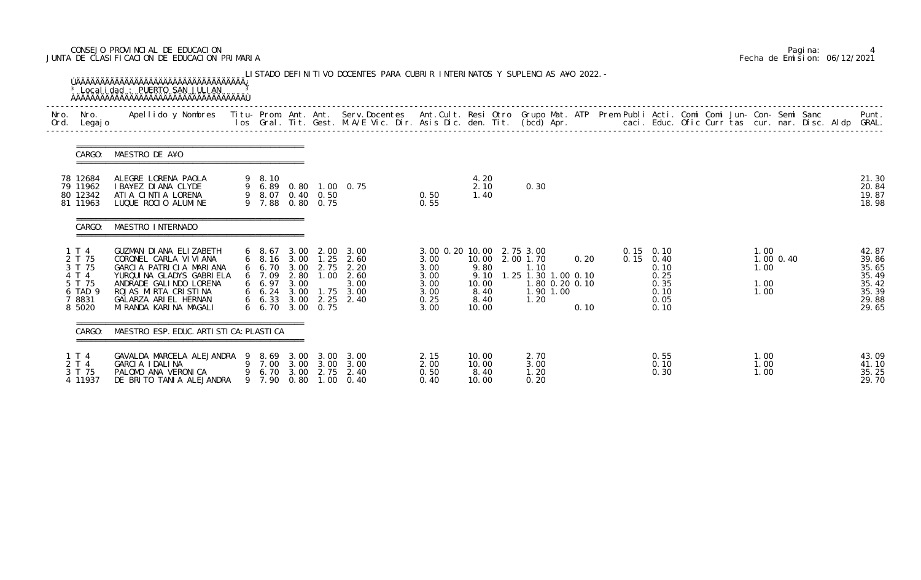# CONSEJO PROVINCIAL DE EDUCACION Pagina: 4 JUNTA DE CLASIFICACION DE EDUCACION PRIMARIA Fecha de Emision: 06/12/2021

| Nro.<br>Ord. | Nro.<br>Legaj o                                                             | Apellido y Nombres - Titu- Prom. Ant. Ant. Serv.Docentes - Ant.Cult. Resi Otro Grupo Mat. ATP Prem Publi Acti. Comi Comi Jun- Con- Semi Sanc - - - Punt.<br>Ios Gral. Tit. Gest. M.A/E Vic. Dir. Asis Dic. den. Tit. (bcd) Apr. - |                                                                        |                              |                      |                                                                                                         |                                                      |                                                                                                |                                                                    |              |                                  |                                              |  |                              |           |  |                                                                      |
|--------------|-----------------------------------------------------------------------------|-----------------------------------------------------------------------------------------------------------------------------------------------------------------------------------------------------------------------------------|------------------------------------------------------------------------|------------------------------|----------------------|---------------------------------------------------------------------------------------------------------|------------------------------------------------------|------------------------------------------------------------------------------------------------|--------------------------------------------------------------------|--------------|----------------------------------|----------------------------------------------|--|------------------------------|-----------|--|----------------------------------------------------------------------|
|              | CARGO:                                                                      | MAESTRO DE A¥O                                                                                                                                                                                                                    |                                                                        |                              |                      |                                                                                                         |                                                      |                                                                                                |                                                                    |              |                                  |                                              |  |                              |           |  |                                                                      |
|              | 78 12684<br>79 11962<br>80 12342<br>81 11963                                | ALEGRE LORENA PAOLA<br>I BA¥EZ DI ANA CLYDE<br>ATIA CINTIA LORENA<br>LUQUE ROCIO ALUMINE                                                                                                                                          | 9 8.10<br>9 8.07 0.40 0.50<br>9 7.88                                   |                              | $0.80 \quad 0.75$    | 9 6.89 0.80 1.00 0.75                                                                                   | 0.50<br>0.55                                         | 4.20<br>2.10<br>1.40                                                                           | 0.30                                                               |              |                                  |                                              |  |                              |           |  | 21.30<br>20.84<br>19.87<br>18.98                                     |
|              | CARGO:                                                                      | MAESTRO INTERNADO                                                                                                                                                                                                                 |                                                                        |                              |                      |                                                                                                         |                                                      |                                                                                                |                                                                    |              |                                  |                                              |  |                              |           |  |                                                                      |
|              | 1 T 4<br>2 T 75<br>3 T 75<br>4 T 4<br>5 T 75<br>6 TAD 9<br>7 8831<br>8 5020 | GUZMAN DIANA ELIZABETH<br>CORONEL CARLA VIVIANA<br>GARCIA PATRICIA MARIANA<br>YURQUINA GLADYS GABRIELA<br>ANDRADE GALINDO LORENA<br>ROJAS MIRTA CRISTINA<br>GALARZA ARIEL HERNAN<br>MI RANDA KARI NA MAGALI                       | $6\quad 8.67$<br>6 7.09<br>6 6.97<br>$6\quad 6.24$<br>6 6.70 3.00 0.75 | 3.00<br>2.80<br>3.00<br>3.00 | 2.00<br>1.00<br>1.75 | 3.00<br>6 8.16 3.00 1.25 2.60<br>6 6.70 3.00 2.75 2.20<br>2.60<br>3.00<br>3.00<br>6 6.33 3.00 2.25 2.40 | 3.00<br>3.00<br>3.00<br>3.00<br>3.00<br>0.25<br>3.00 | 3.00 0.20 10.00 2.75 3.00<br>10.00 2.00 1.70<br>9.80<br>9.10<br>10.00<br>8.40<br>8.40<br>10.00 | 1.10<br>1.25 1.30 1.00 0.10<br>1.80 0.20 0.10<br>1.90 1.00<br>1.20 | 0.20<br>0.10 | $0.15$ 0.10<br>$0.15 \quad 0.40$ | 0.10<br>0.25<br>0.35<br>0.10<br>0.05<br>0.10 |  | 1.00<br>1.00<br>1.00<br>1.00 | 1.00 0.40 |  | 42.87<br>39.86<br>35.65<br>35.49<br>35.42<br>35.39<br>29.88<br>29.65 |
|              | CARGO:                                                                      | MAESTRO ESP. EDUC. ARTI STI CA: PLASTI CA                                                                                                                                                                                         |                                                                        |                              |                      |                                                                                                         |                                                      |                                                                                                |                                                                    |              |                                  |                                              |  |                              |           |  |                                                                      |
|              | 1 T 4<br>2 T 4<br>3 T 75<br>4 11937                                         | GAVALDA MARCELA ALEJANDRA 9 8.69 3.00 3.00 3.00<br>GARCIA IDALINA<br>PALOMO ANA VERONICA<br>DE BRITO TANIA ALEJANDRA                                                                                                              | 9 7.00<br>9 6.70 3.00 2.75                                             |                              | 3.00 3.00            | 3.00<br>2.40<br>9 7.90 0.80 1.00 0.40                                                                   | 2.15<br>2.00<br>0.50<br>0.40                         | 10.00<br>10.00<br>8.40<br>10.00                                                                | 2.70<br>3.00<br>1.20<br>0.20                                       |              |                                  | 0.55<br>0.10<br>0.30                         |  | 1.00<br>1.00<br>1.00         |           |  | 43.09<br>41.10<br>35.25<br>29.70                                     |

|  | Pagi na: |                              |
|--|----------|------------------------------|
|  |          | Fecha de Emision: 06/12/2021 |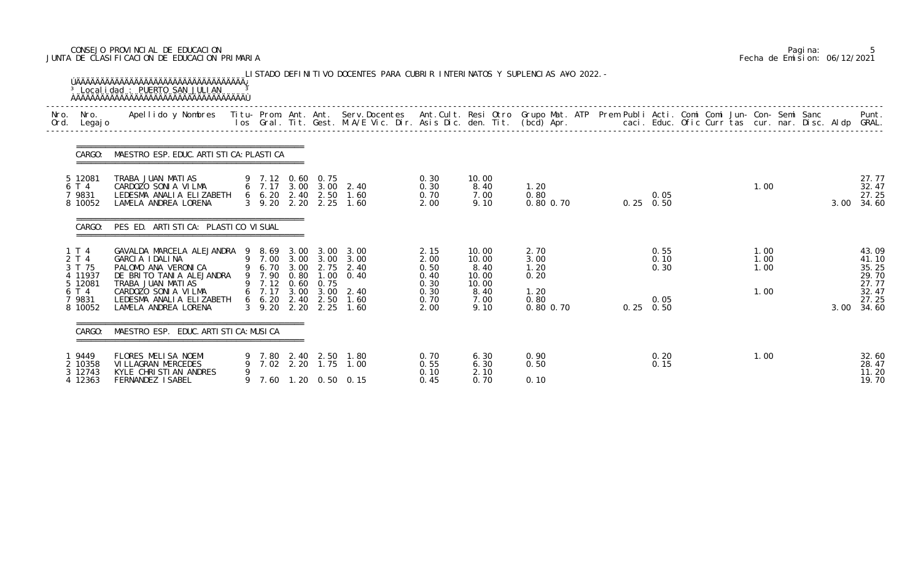# CONSEJO PROVINCIAL DE EDUCACION Pagina: 5 JUNTA DE CLASIFICACION DE EDUCACION PRIMARIA Fecha de Emision: 06/12/2021

| Nro. | Nro. In the Nro.<br>Ord. Legajo                | Apellido y Nombres  Titu- Prom. Ant. Ant.  Serv.Docentes  Ant.Cult. Resi Otro  Grupo Mat. ATP  Prem Publi Acti. Comi Comi Jun- Con- Semi Sanc              Punt.<br>Ios Gral. Tit. Gest. M.A/E Vic. Dir. Asis Dic. den. Tit. (bcd |   |                            |                  |                                                                         |                                      |                                          |                              |                   |                      |  |                      |      |                                           |
|------|------------------------------------------------|-----------------------------------------------------------------------------------------------------------------------------------------------------------------------------------------------------------------------------------|---|----------------------------|------------------|-------------------------------------------------------------------------|--------------------------------------|------------------------------------------|------------------------------|-------------------|----------------------|--|----------------------|------|-------------------------------------------|
|      | CARGO:                                         | MAESTRO ESP. EDUC. ARTI STI CA: PLASTI CA                                                                                                                                                                                         |   |                            |                  |                                                                         |                                      |                                          |                              |                   |                      |  |                      |      |                                           |
|      | 5 12081<br>6 T 4<br>7 9831<br>8 10052          | TRABA JUAN MATIAS<br>CARDOZO SONIA VILMA<br>LEDESMA ANALIA ELIZABETH<br>LAMELA ANDREA LORENA                                                                                                                                      |   |                            | 9 7.12 0.60 0.75 | 6 7.17 3.00 3.00 2.40<br>6 6.20 2.40 2.50 1.60<br>3 9.20 2.20 2.25 1.60 | 0.30<br>0.30<br>0.70<br>2.00         | 10.00<br>8.40<br>7.00<br>9.10            | 1.20<br>0.80<br>0.80 0.70    | $0.25 \quad 0.50$ | 0.05                 |  | 1.00                 | 3.00 | 27.77<br>32.47<br>27.25<br>34.60          |
|      | CARGO:                                         | PES ED. ARTI STI CA: PLASTI CO VI SUAL                                                                                                                                                                                            |   |                            |                  |                                                                         |                                      |                                          |                              |                   |                      |  |                      |      |                                           |
|      | 1 T 4<br>2 T 4<br>3 T 75<br>4 11937<br>5 12081 | GAVALDA MARCELA ALEJANDRA 9 8.69 3.00 3.00 3.00<br>GARCIA IDALINA<br>PALOMO ANA VERONICA<br>DE BRITO TANIA ALEJANDRA<br>TRABA JUAN MATIAS                                                                                         |   | 9 6.70 3.00<br>9 7.90 0.80 | 9 7.12 0.60 0.75 | 9 7.00 3.00 3.00 3.00<br>2.75 2.40<br>$1.00 \t 0.40$                    | 2.15<br>2.00<br>0.50<br>0.40<br>0.30 | 10.00<br>10.00<br>8.40<br>10.00<br>10.00 | 2.70<br>3.00<br>1.20<br>0.20 |                   | 0.55<br>0.10<br>0.30 |  | 1.00<br>1.00<br>1.00 |      | 43.09<br>41.10<br>35.25<br>29.70<br>27.77 |
|      | 6 T 4<br>7 9831<br>8 10052                     | CARDOZO SONIA VILMA<br>LEDESMA ANALIA ELIZABETH<br>LAMELA ANDREA LORENA                                                                                                                                                           |   |                            |                  | 6 7.17 3.00 3.00 2.40<br>6 6.20 2.40 2.50 1.60<br>3 9.20 2.20 2.25 1.60 | 0.30<br>0.70<br>2.00                 | 8.40<br>7.00<br>9.10                     | 1.20<br>0.80<br>0.80 0.70    | $0.25 \quad 0.50$ | 0.05                 |  | 1.00                 | 3.00 | 32.47<br>27.25<br>34.60                   |
|      | CARGO:                                         | MAESTRO ESP. EDUC. ARTI STI CA: MUSI CA                                                                                                                                                                                           |   |                            |                  |                                                                         |                                      |                                          |                              |                   |                      |  |                      |      |                                           |
|      | 19449<br>2 10358<br>3 12743                    | <b>FLORES MELISA NOEMI</b><br>VI LLAGRAN MERCEDES<br>KYLE CHRISTIAN ANDRES                                                                                                                                                        | 9 |                            |                  | 9 7.80 2.40 2.50 1.80<br>7.02 2.20 1.75 1.00                            | 0.70<br>0.55<br>0.10                 | 6.30<br>6.30<br>2.10                     | 0.90<br>0.50                 |                   | 0.20<br>0.15         |  | 1.00                 |      | 32.60<br>28.47<br>11.20                   |
|      | 4 12363                                        | FERNANDEZ ISABEL                                                                                                                                                                                                                  |   |                            |                  | 9 7.60 1.20 0.50 0.15                                                   | 0.45                                 | 0.70                                     | 0.10                         |                   |                      |  |                      |      | 19.70                                     |

|  | Pagi na: |                              |
|--|----------|------------------------------|
|  |          | Fecha de Emision: 06/12/2021 |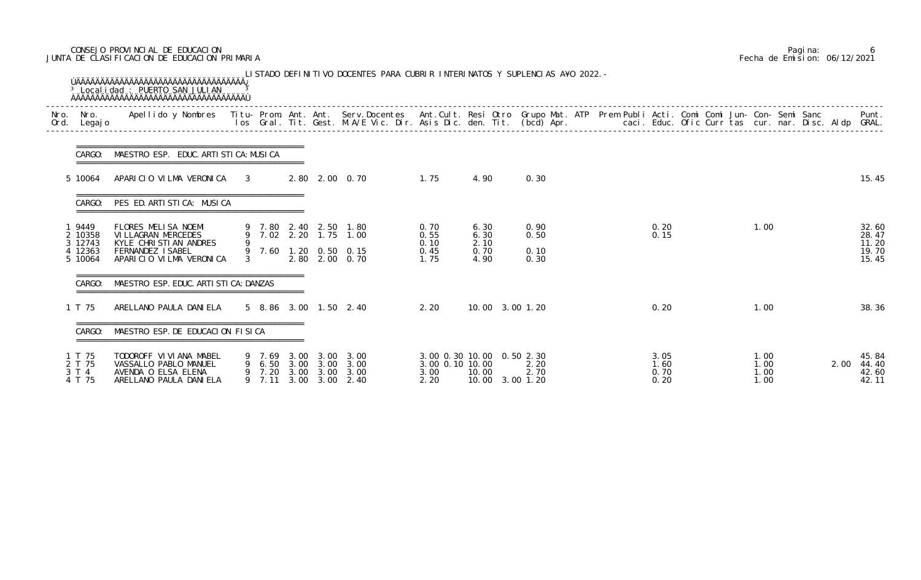# CONSEJO PROVINCIAL DE EDUCACION Pagina: 6 JUNTA DE CLASIFICACION DE EDUCACION PRIMARIA Fecha de Emision: 06/12/2021

| Nro.<br>Ord. | Legaj o                                          | Nro.   Apellido y Nombres  Titu- Prom. Ant. Ant. Serv.Docentes  Ant.Cult. Resi Otro Grupo Mat. ATP  Prem Publi Acti. Comi Comi Jun- Con- Semi Sanc         Punt.<br>Legajo                          Ios  Gral. Tit. Gest. M.A/E V |                                                          |      |                   |                                                                                           |                                      |                                                       |                              |  |                              |  |                              |      |                                           |
|--------------|--------------------------------------------------|-----------------------------------------------------------------------------------------------------------------------------------------------------------------------------------------------------------------------------------|----------------------------------------------------------|------|-------------------|-------------------------------------------------------------------------------------------|--------------------------------------|-------------------------------------------------------|------------------------------|--|------------------------------|--|------------------------------|------|-------------------------------------------|
|              | CARGO:                                           | MAESTRO ESP. EDUC. ARTI STI CA: MUSI CA                                                                                                                                                                                           |                                                          |      |                   |                                                                                           |                                      |                                                       |                              |  |                              |  |                              |      |                                           |
|              | 5 10064                                          | APARICIO VILMA VERONICA 3                                                                                                                                                                                                         |                                                          |      |                   | 2.80 2.00 0.70<br>1.75                                                                    |                                      | 4.90                                                  | 0.30                         |  |                              |  |                              |      | 15.45                                     |
|              | CARGO:                                           | PES ED. ARTI STI CA: MUSI CA                                                                                                                                                                                                      |                                                          |      |                   |                                                                                           |                                      |                                                       |                              |  |                              |  |                              |      |                                           |
|              | 9449<br>2 10358<br>3 12743<br>4 12363<br>5 10064 | FLORES MELISA NOEMI<br>VI LLAGRAN MERCEDES<br>KYLE CHRISTIAN ANDRES<br><b>FERNANDEZ ISABEL</b><br>APARICIO VILMA VERONICA                                                                                                         |                                                          |      |                   | 9 7.80 2.40 2.50 1.80<br>9 7.02 2.20 1.75 1.00<br>9 7.60 1.20 0.50 0.15<br>2.80 2.00 0.70 | 0.70<br>0.55<br>0.10<br>0.45<br>1.75 | 6.30<br>6.30<br>2.10<br>0.70<br>4.90                  | 0.90<br>0.50<br>0.10<br>0.30 |  | 0.20<br>0.15                 |  | 1.00                         |      | 32.60<br>28.47<br>11.20<br>19.70<br>15.45 |
|              | CARGO:                                           | MAESTRO ESP. EDUC. ARTI STI CA: DANZAS                                                                                                                                                                                            |                                                          |      |                   |                                                                                           |                                      |                                                       |                              |  |                              |  |                              |      |                                           |
|              | 1 T 75                                           | ARELLANO PAULA DANIELA                                                                                                                                                                                                            |                                                          |      |                   | 5 8.86 3.00 1.50 2.40                                                                     | 2.20                                 | 10.00 3.00 1.20                                       |                              |  | 0.20                         |  | 1.00                         |      | 38.36                                     |
|              | CARGO:                                           | MAESTRO ESP. DE EDUCACION FISICA                                                                                                                                                                                                  |                                                          |      |                   |                                                                                           |                                      |                                                       |                              |  |                              |  |                              |      |                                           |
|              | 1 T 75<br>2 T 75<br>3 T 4<br>4 T 75              | TODOROFF VI VI ANA MABEL<br>VASSALLO PABLO MANUEL<br>AVENDA O ELSA ELENA<br>ARELLANO PAULA DANI ELA                                                                                                                               | 9 7.69 3.00 3.00<br>9 6.50 3.00 3.00<br>9 7.20<br>9 7.11 | 3.00 | 3.00 3.00<br>3.00 | 3.00<br>3.00<br>3.00<br>2.40                                                              | 3.00 0.10 10.00<br>3.00<br>2.20      | 3.00 0.30 10.00 0.50 2.30<br>10.00<br>10.00 3.00 1.20 | 2.20<br>2.70                 |  | 3.05<br>1.60<br>0.70<br>0.20 |  | 1.00<br>1.00<br>1.00<br>1.00 | 2.00 | 45.84<br>44.40<br>42.60<br>42.11          |

|  | Pagi na: |                              |
|--|----------|------------------------------|
|  |          | Fecha de Emision: 06/12/2021 |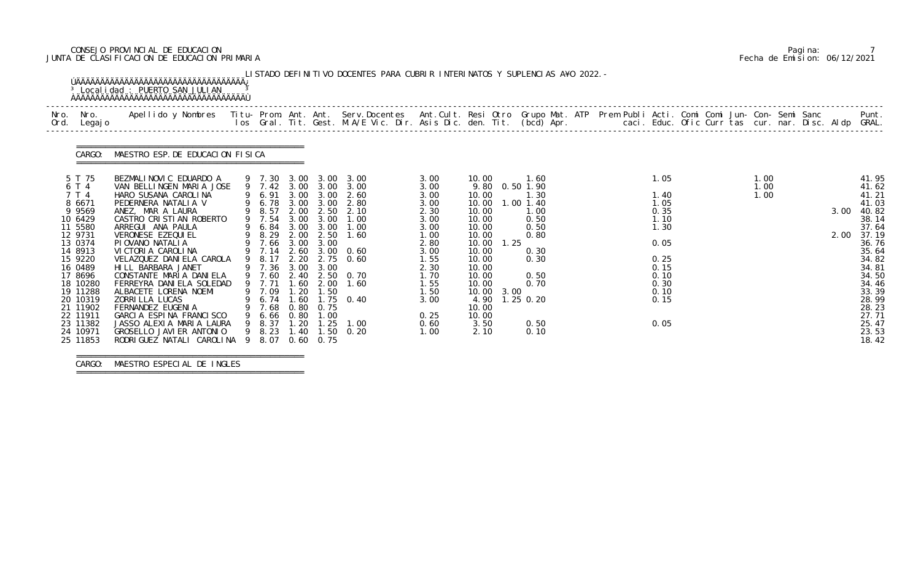# CONSEJO PROVINCIAL DE EDUCACION Pagina: 7 JUNTA DE CLASIFICACION DE EDUCACION PRIMARIA Fecha de Emision: 06/12/2021

| Nro. Nro.<br>Legaj o<br>Ord.                                                                                                                                                                                                | Apellido y Nombres - Titu- Prom. Ant. Ant. Serv.Docentes - Ant.Cult. Resi Otro Grupo Mat. ATP Prem Publi Acti. Comi Comi Jun- Con- Semi Sanc - - - Punt.<br>Ios Gral. Tit. Gest. M.A/E Vic. Dir. Asis Dic. den. Tit. (bcd) Apr. -                                                                                                                                                                                                                                                                  |                                                                                                                                                                |              |                                                                    |                                                                                                                                                                                                                                                                                                    |                                                                                                                                                      |                                                                                                                                                                      |              |                                                                                                                                                |  |  |                                                                                                              |  |                      |  |              |                                                                                                                                                                                  |
|-----------------------------------------------------------------------------------------------------------------------------------------------------------------------------------------------------------------------------|----------------------------------------------------------------------------------------------------------------------------------------------------------------------------------------------------------------------------------------------------------------------------------------------------------------------------------------------------------------------------------------------------------------------------------------------------------------------------------------------------|----------------------------------------------------------------------------------------------------------------------------------------------------------------|--------------|--------------------------------------------------------------------|----------------------------------------------------------------------------------------------------------------------------------------------------------------------------------------------------------------------------------------------------------------------------------------------------|------------------------------------------------------------------------------------------------------------------------------------------------------|----------------------------------------------------------------------------------------------------------------------------------------------------------------------|--------------|------------------------------------------------------------------------------------------------------------------------------------------------|--|--|--------------------------------------------------------------------------------------------------------------|--|----------------------|--|--------------|----------------------------------------------------------------------------------------------------------------------------------------------------------------------------------|
|                                                                                                                                                                                                                             | CARGO: MAESTRO ESP. DE EDUCACION FISICA                                                                                                                                                                                                                                                                                                                                                                                                                                                            |                                                                                                                                                                |              |                                                                    |                                                                                                                                                                                                                                                                                                    |                                                                                                                                                      |                                                                                                                                                                      |              |                                                                                                                                                |  |  |                                                                                                              |  |                      |  |              |                                                                                                                                                                                  |
| 5 T 75<br>6 T 4<br>7 T 4<br>8 6671<br>9 9 5 6 9<br>10 6429<br>11 5580<br>12 9731<br>13 0374<br>14 8913<br>15 9220<br>16 0489<br>17 8696<br>18 10280<br>19 11288<br>20 10319<br>21 11902<br>22 11911<br>23 11382<br>24 10971 | BEZMALINOVIC EDUARDO A<br>VAN BELLINGEN MARIA JOSE<br>HARO SUSANA CAROLINA<br>PEDERNERA NATALIA V<br>ANEZ, MAR A LAURA<br>CASTRO CRISTIAN ROBERTO<br>ARREGUI ANA PAULA<br>VERONESE EZEQUI EL<br>PIOVANO NATALIA<br>VICTORIA CAROLINA<br>VELAZQUEZ DANIELA CAROLA<br>HI LL BARBARA JANET<br>CONSTANTE MARIA DANIELA<br>FERREYRA DANIELA SOLEDAD<br>ALBACETE LORENA NOEMI<br>ZORRI LLA LUCAS<br>FERNANDEZ EUGENIA<br>GARCIA ESPINA FRANCISCO<br>JASSO ALEXIA MARIA LAURA<br>GROSELLO JAVI ER ANTONIO | 9 6.84 3.00 3.00<br>$9$ 7.66 3.00<br>9 7.14 2.60<br>9 8.17 2.20<br>9 7.36 3.00<br>9 7.71<br>9 7.09<br>9 6.74 1.60<br>9 7.68<br>9 6.66 0.80<br>9 8.37<br>9 8.23 | 1.60<br>1.20 | 3.00<br>3.00<br>2.00<br>1.50<br>0.80 0.75<br>1.00<br>$1.20$ $1.25$ | 9 7.30 3.00 3.00 3.00<br>9 7.42 3.00 3.00 3.00<br>9 6.91 3.00 3.00 2.60<br>9 6.78 3.00 3.00 2.80<br>9 8.57 2.00 2.50 2.10<br>9 7.54 3.00 3.00 1.00<br>1.00<br>9 8.29 2.00 2.50 1.60<br>$3.00 \quad 0.60$<br>2.75 0.60<br>9 7.60 2.40 2.50 0.70<br>1.60<br>$1.75 \t 0.40$<br>1.00<br>1.40 1.50 0.20 | 3.00<br>3.00<br>3.00<br>3.00<br>2.30<br>3.00<br>3.00<br>1.00<br>2.80<br>3.00<br>1.55<br>2.30<br>1.70<br>1.55<br>1.50<br>3.00<br>0.25<br>0.60<br>1.00 | 10.00<br>10.00<br>10.00<br>10.00<br>10.00<br>10.00<br>10.00<br>10.00<br>10.00<br>10.00<br>10.00<br>10.00<br>10.00<br>10.00<br>4.90<br>10.00<br>10.00<br>3.50<br>2.10 | 1.25<br>3.00 | 1.60<br>9.80 0.50 1.90<br>1.30<br>$1.00$ $1.40$<br>1.00<br>0.50<br>0.50<br>0.80<br>0.30<br>0.30<br>0.50<br>0.70<br>$1.25$ 0.20<br>0.50<br>0.10 |  |  | 1.05<br>1.40<br>1.05<br>0.35<br>1.10<br>1.30<br>0.05<br>0.25<br>0.15<br>0.10<br>0.30<br>0.10<br>0.15<br>0.05 |  | 1.00<br>1.00<br>1.00 |  | 3.00<br>2.00 | 41.95<br>41.62<br>41.21<br>41.03<br>40.82<br>38.14<br>37.64<br>37.19<br>36.76<br>35.64<br>34.82<br>34.81<br>34.50<br>34.46<br>33.39<br>28.99<br>28.23<br>27.71<br>25.47<br>23.53 |

===============================================

 CARGO: MAESTRO ESPECIAL DE INGLES ===============================================

|  | Pagi na: |                              |
|--|----------|------------------------------|
|  |          | Fecha de Emision: 06/12/2021 |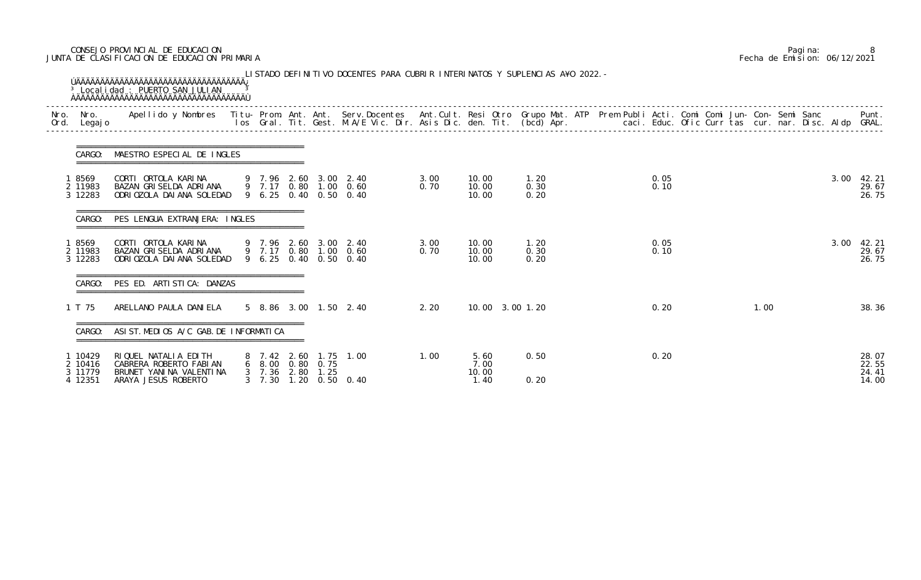# CONSEJO PROVINCIAL DE EDUCACION Pagina: 8 JUNTA DE CLASIFICACION DE EDUCACION PRIMARIA Fecha de Emision: 06/12/2021

| Nro.<br>Ord. | Nro. In the Nro.<br>Legaj o              | Apellido y Nombres  Titu- Prom. Ant. Ant.  Serv.Docentes  Ant.Cult. Resi Otro  Grupo Mat. ATP  Prem Publi Acti. Comi Comi Jun- Con- Semi Sanc              Punt.<br>Ios Gral. Tit. Gest. M.A/E Vic. Dir. Asis Dic. den. Tit. (bcd |                                  |      |                           |                                                                         |              |                               |                      |              |  |      |  |      |                                  |
|--------------|------------------------------------------|-----------------------------------------------------------------------------------------------------------------------------------------------------------------------------------------------------------------------------------|----------------------------------|------|---------------------------|-------------------------------------------------------------------------|--------------|-------------------------------|----------------------|--------------|--|------|--|------|----------------------------------|
|              | CARGO:                                   | MAESTRO ESPECIAL DE INGLES                                                                                                                                                                                                        |                                  |      |                           |                                                                         |              |                               |                      |              |  |      |  |      |                                  |
|              | 8569<br>2 11983<br>3 12283               | CORTI ORTOLA KARINA<br>BAZAN GRISELDA ADRIANA<br>ODRI OZOLA DAI ANA SOLEDAD                                                                                                                                                       |                                  |      |                           | 9 7.96 2.60 3.00 2.40<br>9 7.17 0.80 1.00 0.60<br>9 6.25 0.40 0.50 0.40 | 3.00<br>0.70 | 10.00<br>10.00<br>10.00       | 1.20<br>0.30<br>0.20 | 0.05<br>0.10 |  |      |  | 3.00 | 42. 21<br>29.67<br>26.75         |
|              | CARGO:                                   | PES LENGUA EXTRANJERA: INGLES                                                                                                                                                                                                     |                                  |      |                           |                                                                         |              |                               |                      |              |  |      |  |      |                                  |
|              | 18569<br>2 11983<br>3 12283              | CORTI ORTOLA KARINA<br>BAZAN GRISELDA ADRIANA<br>ODRI OZOLA DAI ANA SOLEDAD                                                                                                                                                       |                                  |      |                           | 9 7.96 2.60 3.00 2.40<br>9 7.17 0.80 1.00 0.60<br>9 6.25 0.40 0.50 0.40 | 3.00<br>0.70 | 10.00<br>10.00<br>10.00       | 1.20<br>0.30<br>0.20 | 0.05<br>0.10 |  |      |  | 3.00 | 42.21<br>29.67<br>26.75          |
|              | CARGO:                                   | =================================<br>PES ED. ARTISTICA: DANZAS                                                                                                                                                                    |                                  |      |                           |                                                                         |              |                               |                      |              |  |      |  |      |                                  |
|              | 1 T 75                                   | ARELLANO PAULA DANIELA                                                                                                                                                                                                            |                                  |      |                           | 5 8.86 3.00 1.50 2.40                                                   | 2.20         | 10.00 3.00 1.20               |                      | 0.20         |  | 1.00 |  |      | 38.36                            |
|              | CARGO:                                   | ASIST. MEDIOS A/C GAB. DE INFORMATICA                                                                                                                                                                                             |                                  |      |                           |                                                                         |              |                               |                      |              |  |      |  |      |                                  |
|              | 1 10429<br>2 10416<br>3 11779<br>4 12351 | RIQUEL NATALIA EDITH<br>CABRERA ROBERTO FABIAN<br>BRUNET YANINA VALENTINA<br>ARAYA JESUS ROBERTO                                                                                                                                  | $3 \quad 7.36$<br>$3 \quad 7.30$ | 2.80 | 6 8.00 0.80 0.75<br>1. 25 | 8 7.42 2.60 1.75 1.00<br>1.20 0.50 0.40                                 | 1.00         | 5.60<br>7.00<br>10.00<br>1.40 | 0.50<br>0.20         | 0.20         |  |      |  |      | 28.07<br>22.55<br>24.41<br>14.00 |

|  | Pagi na: |                              |
|--|----------|------------------------------|
|  |          | Fecha de Emision: 06/12/2021 |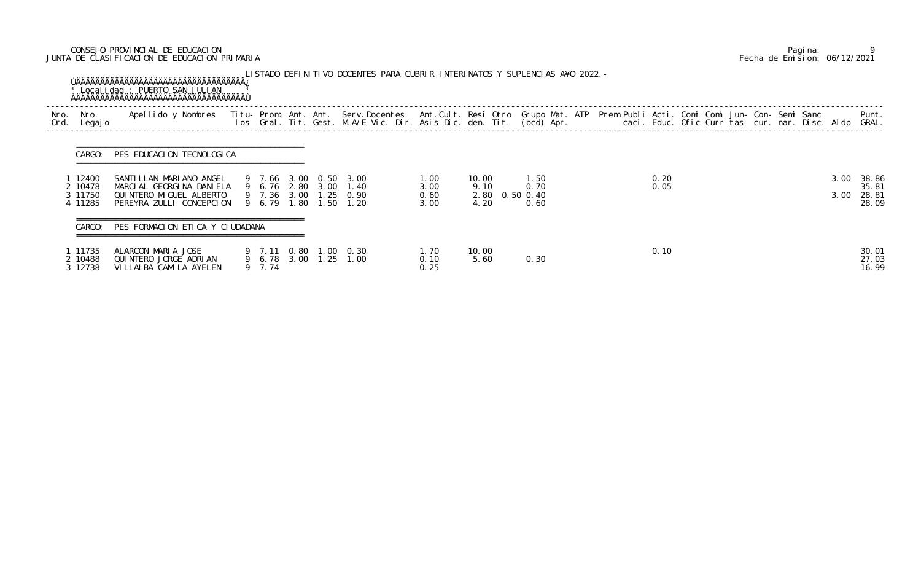# CONSEJO PROVINCIAL DE EDUCACION Pagina: 9 JUNTA DE CLASIFICACION DE EDUCACION PRIMARIA Fecha de Emision: 06/12/2021

|              |                                        | <sup>3</sup> Localidad : PUERTO SAN JULIAN                                                                                                                                                                             |                       |  | LISTADO DEFINITIVO DOCENTES PARA CUBRIR INTERINATOS Y SUPLENCIAS A¥O 2022. – |                              |                                         |                      |  |              |  |  |              |                                  |
|--------------|----------------------------------------|------------------------------------------------------------------------------------------------------------------------------------------------------------------------------------------------------------------------|-----------------------|--|------------------------------------------------------------------------------|------------------------------|-----------------------------------------|----------------------|--|--------------|--|--|--------------|----------------------------------|
| Nro.<br>Ord. | Nro.<br>Legaj o                        | Apellido y Nombres - Titu- Prom. Ant. Ant. Serv.Docentes - Ant.Cult. Resi Otro- Grupo Mat. ATP - Prem Publi Acti. Comi Comi Jun- Con- Semi Sanc<br>Ios Gral. Tit. Gest. M.A/E Vic. Dir. Asis Dic. den. Tit. (bcd) Apr. |                       |  |                                                                              |                              |                                         |                      |  |              |  |  |              | Punt.<br>GRAL.                   |
|              | CARGO:                                 | PES EDUCACION TECNOLOGICA                                                                                                                                                                                              |                       |  |                                                                              |                              |                                         |                      |  |              |  |  |              |                                  |
|              | 12400<br>2 10478<br>3 11750<br>4 11285 | SANTI LLAN MARI ANO ANGEL<br>MARCIAL GEORGINA DANIELA<br>QUI NTERO MI GUEL ALBERTO<br>PEREYRA ZULLI CONCEPCION                                                                                                         | 9 7.66 3.00 0.50 3.00 |  | 9 6.76 2.80 3.00 1.40<br>9 7.36 3.00 1.25 0.90<br>9 6.79 1.80 1.50 1.20      | 1.00<br>3.00<br>0.60<br>3.00 | 10.00<br>9.10<br>2.80 0.50 0.40<br>4.20 | 1.50<br>0.70<br>0.60 |  | 0.20<br>0.05 |  |  | 3.00<br>3.00 | 38.86<br>35.81<br>28.81<br>28.09 |
|              | CARGO:                                 | PES FORMACION ETICA Y CIUDADANA                                                                                                                                                                                        |                       |  |                                                                              |                              |                                         |                      |  |              |  |  |              |                                  |
|              | 1 11735<br>2 10488<br>3 12738          | ALARCON MARIA JOSE<br>QUINTERO JORGE ADRIAN<br>VI LLALBA CAMI LA AYELEN                                                                                                                                                | 9 7.74                |  | 9 7.11 0.80 1.00 0.30<br>9 6.78 3.00 1.25 1.00                               | 1.70<br>0.10<br>0.25         | 10.00<br>5.60                           | 0.30                 |  | 0.10         |  |  |              | 30.01<br>27.03<br>16.99          |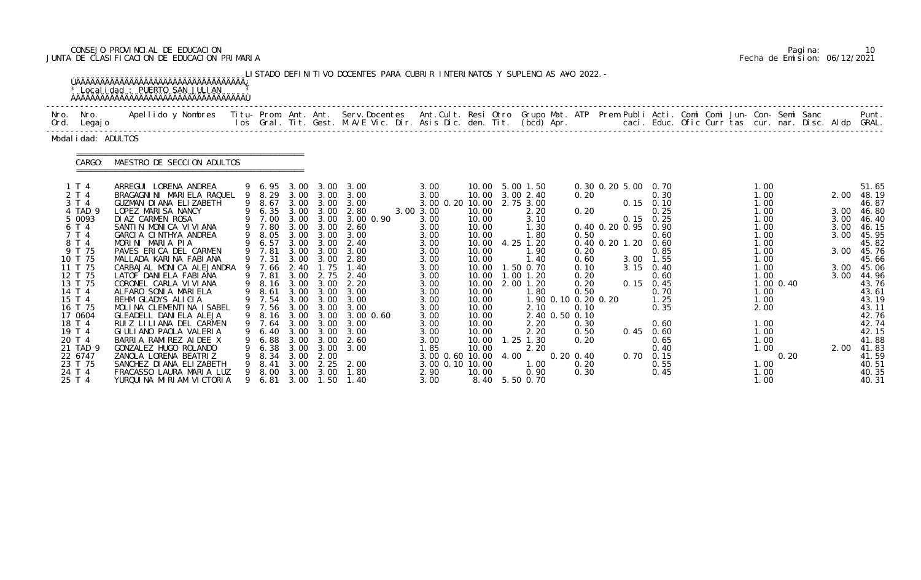# CONSEJO PROVINCIAL DE EDUCACION Pagina: 10 JUNTA DE CLASIFICACION DE EDUCACION PRIMARIA Fecha de Emision: 06/12/2021

|              | LISTADO DEFINITIVO DOCENTES PARA CUBRIR INTERINATOS Y SUPLENCIAS A¥O 2022. -<br>ÚÄÄÄÄÄÄÄÄÄÄÄÄÄÄÄÄÄÄÄÄÄÄÄÄÄÄÄÄÄÄÄÄÄÄÄÄÄ<br><sup>3</sup> Localidad : PUERTO SAN JULIAN  |                                                                                                                                                                                                                                                                                                                                                                                                                                           |                  |                                                                                                                                                            |                                                                                                                                      |                                                                                                                                      |                                                                                                                                                |                                                                                                                                                      |                                                                                                                                              |      |                                                                                                                                                                                                        |                                                                              |                                                            |                                                                                                                                                             |  |                                                                                                                      |           |                                                              |                                                                                                                                                       |
|--------------|-----------------------------------------------------------------------------------------------------------------------------------------------------------------------|-------------------------------------------------------------------------------------------------------------------------------------------------------------------------------------------------------------------------------------------------------------------------------------------------------------------------------------------------------------------------------------------------------------------------------------------|------------------|------------------------------------------------------------------------------------------------------------------------------------------------------------|--------------------------------------------------------------------------------------------------------------------------------------|--------------------------------------------------------------------------------------------------------------------------------------|------------------------------------------------------------------------------------------------------------------------------------------------|------------------------------------------------------------------------------------------------------------------------------------------------------|----------------------------------------------------------------------------------------------------------------------------------------------|------|--------------------------------------------------------------------------------------------------------------------------------------------------------------------------------------------------------|------------------------------------------------------------------------------|------------------------------------------------------------|-------------------------------------------------------------------------------------------------------------------------------------------------------------|--|----------------------------------------------------------------------------------------------------------------------|-----------|--------------------------------------------------------------|-------------------------------------------------------------------------------------------------------------------------------------------------------|
| Nro.<br>Ord. | Nro.<br>Legaj o                                                                                                                                                       | Apellido y Nombres - Titu- Prom. Ant. Ant. Serv.Docentes - Ant.Cult. Resi Otro Grupo Mat. ATP - Prem Publi Acti. Comi Comi Jun- Con- Semi Sanc - Semi Sanc - Semi Sanc - Ios Gral. Tit. Gest. M.A/E Vic. Dir. Asis Dic. den. T                                                                                                                                                                                                            |                  |                                                                                                                                                            |                                                                                                                                      |                                                                                                                                      |                                                                                                                                                |                                                                                                                                                      |                                                                                                                                              |      |                                                                                                                                                                                                        |                                                                              |                                                            |                                                                                                                                                             |  |                                                                                                                      |           |                                                              | Punt.<br>caci. Educ. Ofic Curr tas cur. nar. Disc. Aldp GRAL.                                                                                         |
|              | Modal i dad: ADULTOS                                                                                                                                                  |                                                                                                                                                                                                                                                                                                                                                                                                                                           |                  |                                                                                                                                                            |                                                                                                                                      |                                                                                                                                      |                                                                                                                                                |                                                                                                                                                      |                                                                                                                                              |      |                                                                                                                                                                                                        |                                                                              |                                                            |                                                                                                                                                             |  |                                                                                                                      |           |                                                              |                                                                                                                                                       |
|              | CARGO:                                                                                                                                                                | MAESTRO DE SECCION ADULTOS                                                                                                                                                                                                                                                                                                                                                                                                                |                  |                                                                                                                                                            |                                                                                                                                      |                                                                                                                                      |                                                                                                                                                |                                                                                                                                                      |                                                                                                                                              |      |                                                                                                                                                                                                        |                                                                              |                                                            |                                                                                                                                                             |  |                                                                                                                      |           |                                                              |                                                                                                                                                       |
|              | 1T4<br>2 T 4<br>3 T 4<br>4 TAD 9<br>5 0093<br>6 T 4<br>7 T 4<br>8 T 4<br>9 T 75<br>10 T 75<br>11 T 75<br>12 T 75<br>13 T 75<br>14 T 4<br>15 T 4<br>16 T 75<br>17 0604 | ARREGUI LORENA ANDREA<br>BRAGAGNINI MARIELA RAQUEL<br>GUZMAN DI ANA ELIZABETH<br>LOPEZ MARISA NANCY<br>DI AZ CARMEN ROSA<br>SANTIN MONICA VIVIANA<br>GARCIA CINTHYA ANDREA<br>MORINI MARIA PIA<br>PAVES ERICA DEL CARMEN<br>MALLADA KARINA FABIANA<br>CARBAJAL MONICA ALEJANDRA<br>LATOF DANI ELA FABI ANA<br>CORONEL CARLA VI VI ANA<br>ALFARO SONIA MARIELA<br>BEHM GLADYS ALICIA<br>MOLINA CLEMENTINA ISABEL<br>GLEADELL DANIELA ALEJA | 9<br>9<br>9<br>9 | $9 6.95$<br>$9 8.29$<br>8.67<br>6.35<br>7.00<br>9 7.80<br>8.05<br>6.57<br>9 7.81<br>9 7.31<br>7.66<br>9 7.81<br>8.16<br>8.61<br>9 7.54<br>9 7.56<br>9 8.16 | 3.00<br>3.00<br>3.00<br>3.00<br>3.00<br>3.00<br>3.00<br>3.00<br>3.00<br>3.00<br>2.40<br>3.00<br>3.00<br>3.00<br>3.00<br>3.00<br>3.00 | 3.00<br>3.00<br>3.00<br>3.00<br>3.00<br>3.00<br>3.00<br>3.00<br>3.00<br>3.00<br>1.75<br>2.75<br>3.00<br>3.00<br>3.00<br>3.00<br>3.00 | 3.00<br>3.00<br>3.00<br>2.80<br>3.00 0.90<br>2.60<br>3.00<br>2.40<br>3.00<br>2.80<br>1.40<br>2.40<br>2.20<br>3.00<br>3.00<br>3.00<br>3.00 0.60 | 3.00<br>3.00<br>3.00 0.20 10.00<br>3.00 3.00<br>3.00<br>3.00<br>3.00<br>3.00<br>3.00<br>3.00<br>3.00<br>3.00<br>3.00<br>3.00<br>3.00<br>3.00<br>3.00 | 10.00<br>10.00<br>10.00<br>10.00<br>10.00<br>10.00<br>10.00<br>10.00<br>10.00<br>10.00<br>10.00<br>10.00<br>10.00<br>10.00<br>10.00<br>10.00 |      | 5.00 1.50<br>3.00 2.40<br>2.75 3.00<br>2.20<br>3.10<br>1.30<br>1.80<br>4.25 1.20<br>1.90<br>1.40<br>1.50 0.70<br>$1.00$ $1.20$<br>$2.00$ 1.20<br>1.80<br>1.90 0.10 0.20 0.20<br>2.10<br>2.40 0.50 0.10 | 0.20<br>0.20<br>0.50<br>0.20<br>0.60<br>0.10<br>0.20<br>0.20<br>0.50<br>0.10 | 0.30 0.20 5.00<br>0.40 0.20 0.95<br>0.40 0.20 1.20<br>3.15 | 0. 70<br>0.30<br>$0.15$ 0.10<br>0.25<br>$0.15$ $0.25$<br>0.90<br>0.60<br>0.60<br>0.85<br>$3.00$ 1.55<br>0.40<br>0.60<br>$0.15$ 0.45<br>0.70<br>1.25<br>0.35 |  | 1.00<br>1.00<br>1.00<br>1.00<br>1.00<br>1.00<br>1.00<br>1.00<br>1.00<br>1.00<br>1.00<br>1.00<br>1.00<br>1.00<br>2.00 | 1.00 0.40 | 2.00<br>3.00<br>3.00<br>3.00<br>3.00<br>3.00<br>3.00<br>3.00 | 51.65<br>48.19<br>46.87<br>46.80<br>46.40<br>46.15<br>45.95<br>45.82<br>45.76<br>45.66<br>45.06<br>44.96<br>43.76<br>43.61<br>43.19<br>43.11<br>42.76 |
|              | 18 T 4<br>19 T 4<br>20 T 4<br>21 TAD 9<br>22 6747<br>23 T 75<br>24 T 4<br>25 T 4                                                                                      | RUIZ LILIANA DEL CARMEN<br>GI ULI ANO PAOLA VALERIA<br>BARRIA RAMIREZ AIDEE X<br>GONZALEZ HUGO ROLANDO<br>ZANOLA LORENA BEATRIZ<br>SANCHEZ DI ANA ELIZABETH<br>FRACASSO LAURA MARIA LUZ<br>YURQUINA MIRIAM VICTORIA                                                                                                                                                                                                                       | 9                | 9 7.64<br>6.40<br>6.88<br>6.38<br>8.34<br>8.41<br>8.00<br>9 6.81                                                                                           | 3.00<br>3.00<br>3.00<br>3.00<br>3.00<br>3.00<br>3.00                                                                                 | 3.00 3.00<br>3.00<br>3.00<br>2.00<br>2.25<br>3.00                                                                                    | 3.00<br>3.00<br>2.60<br>3.00 3.00<br>2.00<br>1.80<br>1.50 1.40                                                                                 | 3.00<br>3.00<br>3.00<br>1. 85<br>3.00 0.60 10.00<br>3.00 0.10 10.00<br>2.90<br>3.00                                                                  | 10.00<br>10.00<br>10.00<br>10.00<br>10.00<br>8.40                                                                                            | 4.00 | 2.20<br>2.20<br>$1.25$ $1.30$<br>2.20<br>1.00<br>0.90<br>5.50 0.70                                                                                                                                     | 0.30<br>0.50<br>0.20<br>$0.20 \, 0.40$<br>0.20<br>0.30                       |                                                            | 0.60<br>0.45 0.60<br>0.65<br>0.40<br>$0.70 \quad 0.15$<br>0.55<br>0.45                                                                                      |  | 1.00<br>1.00<br>1.00<br>1.00<br>1.00<br>1.00<br>1.00                                                                 | 0.20      | 2.00                                                         | 42.74<br>42.15<br>41.88<br>41.83<br>41.59<br>40.51<br>40.35<br>40.31                                                                                  |

|  | Pagi na: | 10                           |
|--|----------|------------------------------|
|  |          | Fecha de Emision: 06/12/2021 |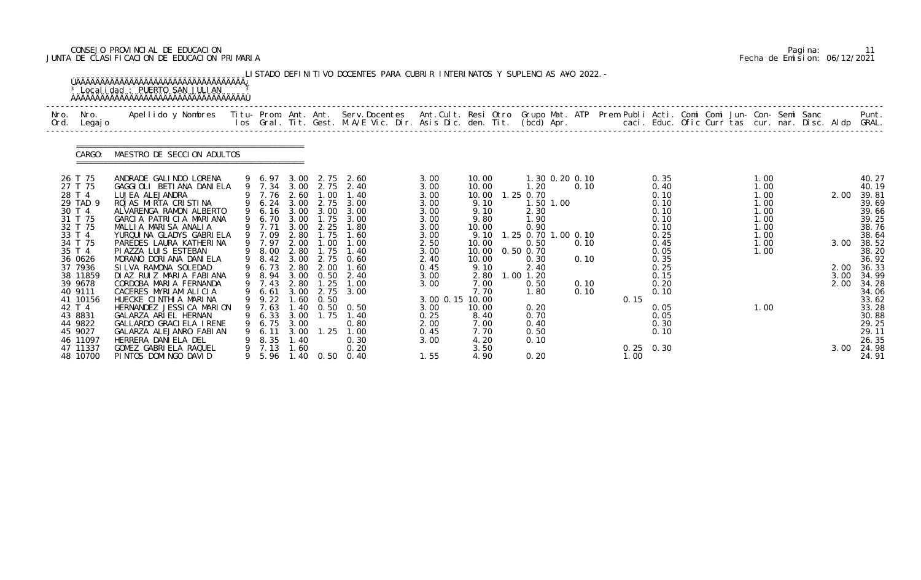# CONSEJO PROVINCIAL DE EDUCACION Pagina: 11 JUNTA DE CLASIFICACION DE EDUCACION PRIMARIA Fecha de Emision: 06/12/2021

|      |                                                                                                                                                                             | UAAAAAAAAAAAAAAAAAAAAAAAAAAAAAAAAA<br><sup>3</sup> Localidad : PUERTO SAN JULIAN                                                                                                                                                                                                                                                                                                                                       |                                                                                                                                                                                       |                                                                                              |                                                                                                              | LISTADO DEFINITIVO DOCENTES PARA CUBRIR INTERINATOS Y SUPLENCIAS A¥O 2022. –                                              |                                                                                                                           |                                                                                                                                      |                                                                                                                                                                   |                                      |                     |                                                                                                                      |                                                                              |                                      |                                                                                                                                              |
|------|-----------------------------------------------------------------------------------------------------------------------------------------------------------------------------|------------------------------------------------------------------------------------------------------------------------------------------------------------------------------------------------------------------------------------------------------------------------------------------------------------------------------------------------------------------------------------------------------------------------|---------------------------------------------------------------------------------------------------------------------------------------------------------------------------------------|----------------------------------------------------------------------------------------------|--------------------------------------------------------------------------------------------------------------|---------------------------------------------------------------------------------------------------------------------------|---------------------------------------------------------------------------------------------------------------------------|--------------------------------------------------------------------------------------------------------------------------------------|-------------------------------------------------------------------------------------------------------------------------------------------------------------------|--------------------------------------|---------------------|----------------------------------------------------------------------------------------------------------------------|------------------------------------------------------------------------------|--------------------------------------|----------------------------------------------------------------------------------------------------------------------------------------------|
| Nro. | Nro.<br>Ord. Legajo                                                                                                                                                         | Apellido y Nombres  Titu- Prom. Ant. Ant. Serv.Docentes  Ant.Cult. Resi Otro Grupo Mat. ATP Prem Publi Acti. Comi Comi Jun- Con- Semi Sanc             Punt.<br>Ios Gral. Tit. Gest. M.A/E Vic. Dir. Asis Dic. den. Tit. (bcd) Ap                                                                                                                                                                                      |                                                                                                                                                                                       |                                                                                              |                                                                                                              |                                                                                                                           |                                                                                                                           |                                                                                                                                      |                                                                                                                                                                   |                                      |                     |                                                                                                                      |                                                                              |                                      |                                                                                                                                              |
|      | CARGO:                                                                                                                                                                      | MAESTRO DE SECCION ADULTOS                                                                                                                                                                                                                                                                                                                                                                                             |                                                                                                                                                                                       |                                                                                              |                                                                                                              |                                                                                                                           |                                                                                                                           |                                                                                                                                      |                                                                                                                                                                   |                                      |                     |                                                                                                                      |                                                                              |                                      |                                                                                                                                              |
|      | 26 T 75<br>27 T 75<br>28 T 4<br>29 TAD 9<br>30 T 4<br>31 T 75<br>32 T 75<br>33 T 4<br>34 T 75<br>35 T 4<br>36 0626<br>37 7936<br>38 11859<br>39 9678<br>40 9111<br>41 10156 | ANDRADE GALINDO LORENA<br>GAGGIOLI BETIANA DANIELA<br>LUJEA ALEJANDRA<br>ROJAS MIRTA CRISTINA<br>ALVARENGA RAMON ALBERTO<br>GARCIA PATRICIA MARIANA<br>MALLIA MARISA ANALIA<br>YURQUI NA GLADYS GABRI ELA<br>PAREDES LAURA KATHERINA<br>PI AZZA LUI S ESTEBAN<br>MORANO DORIANA DANIELA<br>SILVA RAMONA SOLEDAD<br>DIAZ RUIZ MARIA FABIANA<br>CORDOBA MARIA FERNANDA<br>CACERES MYRIAM ALICIA<br>HUECKE CINTHIA MARINA | 9 6.97 3.00<br>9 7.34 3.00 2.75<br>9 7.76 2.60<br>9 6.24 3.00<br>9 6.16<br>9 6.70<br>9 7.71<br>9 7.09<br>9 7.97<br>9 8.00<br>9 8.42<br>9 6.73<br>9 8.94<br>9 7.43<br>9 6.61<br>9 9.22 | 3.00<br>3.00<br>3.00<br>2.80<br>2.00<br>2.80<br>3.00<br>2.80<br>3.00<br>2.80<br>3.00<br>1.60 | 2.75<br>1.00<br>2.75<br>3.00<br>1.75<br>2.25<br>1.75<br>1.00<br>1.75<br>2.00<br>0.50<br>1.25<br>2.75<br>0.50 | 2.60<br>2.40<br>1.40<br>3.00<br>3.00<br>3.00<br>1.80<br>1.60<br>1.00<br>1.40<br>2.75 0.60<br>1.60<br>2.40<br>1.00<br>3.00 | 3.00<br>3.00<br>3.00<br>3.00<br>3.00<br>3.00<br>3.00<br>3.00<br>2.50<br>3.00<br>2.40<br>0.45<br>3.00<br>3.00<br>3.00 0.15 | 10.00<br>10.00<br>10.00<br>9.10<br>9.10<br>9.80<br>10.00<br>9.10<br>10.00<br>10.00<br>10.00<br>9.10<br>2.80<br>7.00<br>7.70<br>10.00 | 1.30 0.20 0.10<br>1.20<br>1.25 0.70<br>1.50 1.00<br>2.30<br>1.90<br>0.90<br>1.25 0.70 1.00 0.10<br>0.50<br>0.50 0.70<br>0.30<br>2.40<br>1.00 1.20<br>0.50<br>1.80 | 0.10<br>0.10<br>0.10<br>0.10<br>0.10 | 0.15                | 0.35<br>0.40<br>0.10<br>0.10<br>0.10<br>0.10<br>0.10<br>0.25<br>0.45<br>0.05<br>0.35<br>0.25<br>0.15<br>0.20<br>0.10 | 1.00<br>1.00<br>1.00<br>1.00<br>1.00<br>1.00<br>1.00<br>1.00<br>1.00<br>1.00 | 2.00<br>3.00<br>2.00<br>3.00<br>2.00 | 40.27<br>40.19<br>39.81<br>39.69<br>39.66<br>39.25<br>38.76<br>38.64<br>38.52<br>38.20<br>36.92<br>36.33<br>34.99<br>34.28<br>34.06<br>33.62 |
|      | 42 T 4<br>43 8831<br>44 9822<br>45 9027<br>46 11097<br>47 11337<br>48 10700                                                                                                 | HERNANDEZ JESSI CA MARION<br>GALARZA ARIEL HERNAN<br>GALLARDO GRACI ELA IRENE<br>GALARZA ALEJANRO FABIAN<br>HERRERA DANIELA DEL<br>GOMEZ GABRIELA RAQUEL<br>PINTOS DOMINGO DAVID                                                                                                                                                                                                                                       | 9 7.63<br>9 6.33<br>9 6.75<br>9 6.11<br>9 8.35<br>9 7.13 1.60                                                                                                                         | 3.00<br>3.00<br>3.00<br>1.40                                                                 | 1.75                                                                                                         | 1.40 0.50 0.50<br>1.40<br>0.80<br>$1.25$ $1.00$<br>0.30<br>0.20<br>9 5.96 1.40 0.50 0.40                                  | 3.00<br>0.25<br>2.00<br>0.45<br>3.00<br>1.55                                                                              | 10.00<br>8.40<br>7.00<br>7.70<br>4.20<br>3.50<br>4.90                                                                                | 0.20<br>0.70<br>0.40<br>0.50<br>0.10<br>0.20                                                                                                                      |                                      | $0.25$ 0.30<br>1.00 | 0.05<br>0.05<br>0.30<br>0.10                                                                                         | 1.00                                                                         | 3.00                                 | 33.28<br>30.88<br>29.25<br>29.11<br>26.35<br>24.98<br>24.91                                                                                  |

|  | Pagi na: |                              |
|--|----------|------------------------------|
|  |          | Fecha de Emision: 06/12/2021 |